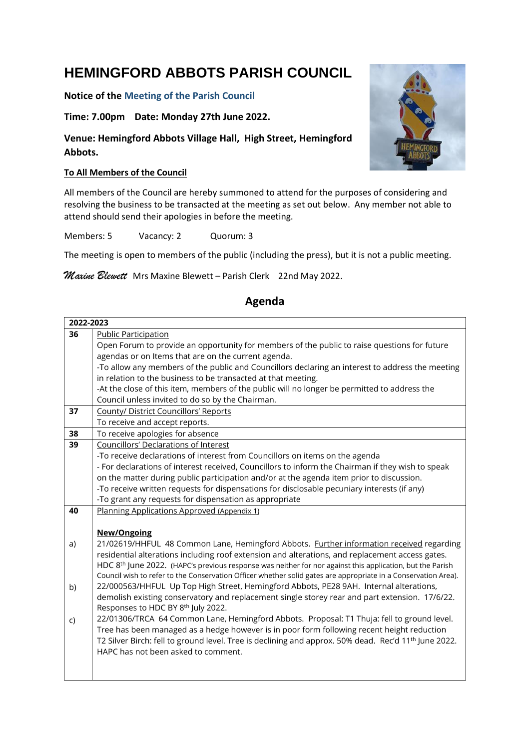# **HEMINGFORD ABBOTS PARISH COUNCIL**

#### **Notice of the Meeting of the Parish Council**

### **Time: 7.00pm Date: Monday 27th June 2022.**

## **Venue: Hemingford Abbots Village Hall, High Street, Hemingford Abbots.**

#### **To All Members of the Council**

All members of the Council are hereby summoned to attend for the purposes of considering and resolving the business to be transacted at the meeting as set out below. Any member not able to attend should send their apologies in before the meeting.

Members: 5 Vacancy: 2 Quorum: 3

The meeting is open to members of the public (including the press), but it is not a public meeting.

*Maxine Blewett* Mrs Maxine Blewett – Parish Clerk 22nd May 2022.

#### **2022-2023 36** Public Participation Open Forum to provide an opportunity for members of the public to raise questions for future agendas or on Items that are on the current agenda. -To allow any members of the public and Councillors declaring an interest to address the meeting in relation to the business to be transacted at that meeting. -At the close of this item, members of the public will no longer be permitted to address the Council unless invited to do so by the Chairman. **37** County/ District Councillors' Reports To receive and accept reports. **38** To receive apologies for absence **39** Councillors' Declarations of Interest -To receive declarations of interest from Councillors on items on the agenda - For declarations of interest received, Councillors to inform the Chairman if they wish to speak on the matter during public participation and/or at the agenda item prior to discussion. -To receive written requests for dispensations for disclosable pecuniary interests (if any) -To grant any requests for dispensation as appropriate **40** a) b) c) Planning Applications Approved (Appendix 1) **New/Ongoing** 21/02619/HHFUL 48 Common Lane, Hemingford Abbots. Further information received regarding residential alterations including roof extension and alterations, and replacement access gates. HDC  $8<sup>th</sup>$  June 2022. (HAPC's previous response was neither for nor against this application, but the Parish Council wish to refer to the Conservation Officer whether solid gates are appropriate in a Conservation Area). 22/000563/HHFUL Up Top High Street, Hemingford Abbots, PE28 9AH. Internal alterations, demolish existing conservatory and replacement single storey rear and part extension. 17/6/22. Responses to HDC BY 8<sup>th</sup> July 2022. 22/01306/TRCA 64 Common Lane, Hemingford Abbots. Proposal: T1 Thuja: fell to ground level. Tree has been managed as a hedge however is in poor form following recent height reduction T2 Silver Birch: fell to ground level. Tree is declining and approx. 50% dead. Rec'd 11<sup>th</sup> June 2022. HAPC has not been asked to comment.

## **Agenda**

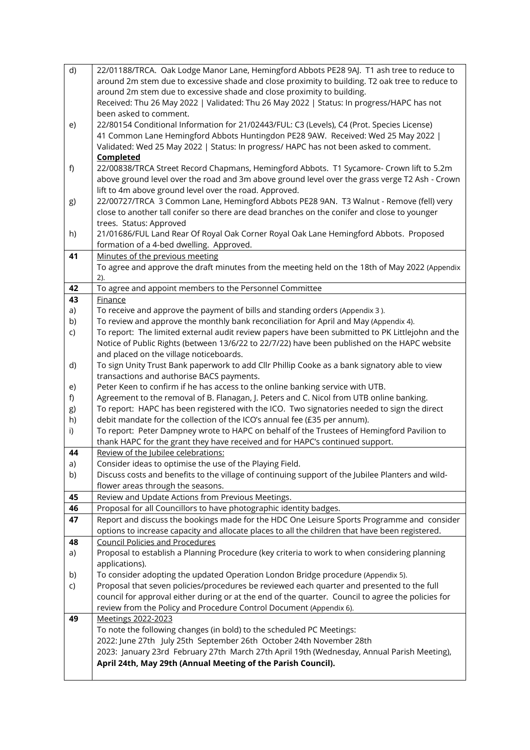| d) | 22/01188/TRCA. Oak Lodge Manor Lane, Hemingford Abbots PE28 9AJ. T1 ash tree to reduce to                                                                                                        |  |  |  |  |  |
|----|--------------------------------------------------------------------------------------------------------------------------------------------------------------------------------------------------|--|--|--|--|--|
|    | around 2m stem due to excessive shade and close proximity to building. T2 oak tree to reduce to                                                                                                  |  |  |  |  |  |
|    | around 2m stem due to excessive shade and close proximity to building.                                                                                                                           |  |  |  |  |  |
|    | Received: Thu 26 May 2022   Validated: Thu 26 May 2022   Status: In progress/HAPC has not                                                                                                        |  |  |  |  |  |
|    | been asked to comment.                                                                                                                                                                           |  |  |  |  |  |
| e) | 22/80154 Conditional Information for 21/02443/FUL: C3 (Levels), C4 (Prot. Species License)                                                                                                       |  |  |  |  |  |
|    | 41 Common Lane Hemingford Abbots Huntingdon PE28 9AW. Received: Wed 25 May 2022                                                                                                                  |  |  |  |  |  |
|    | Validated: Wed 25 May 2022   Status: In progress/ HAPC has not been asked to comment.                                                                                                            |  |  |  |  |  |
|    | Completed                                                                                                                                                                                        |  |  |  |  |  |
| f) | 22/00838/TRCA Street Record Chapmans, Hemingford Abbots. T1 Sycamore- Crown lift to 5.2m                                                                                                         |  |  |  |  |  |
|    | above ground level over the road and 3m above ground level over the grass verge T2 Ash - Crown                                                                                                   |  |  |  |  |  |
|    | lift to 4m above ground level over the road. Approved.                                                                                                                                           |  |  |  |  |  |
| g) | 22/00727/TRCA 3 Common Lane, Hemingford Abbots PE28 9AN. T3 Walnut - Remove (fell) very                                                                                                          |  |  |  |  |  |
|    | close to another tall conifer so there are dead branches on the conifer and close to younger                                                                                                     |  |  |  |  |  |
|    | trees. Status: Approved                                                                                                                                                                          |  |  |  |  |  |
| h) | 21/01686/FUL Land Rear Of Royal Oak Corner Royal Oak Lane Hemingford Abbots. Proposed                                                                                                            |  |  |  |  |  |
|    | formation of a 4-bed dwelling. Approved.                                                                                                                                                         |  |  |  |  |  |
| 41 | Minutes of the previous meeting                                                                                                                                                                  |  |  |  |  |  |
|    | To agree and approve the draft minutes from the meeting held on the 18th of May 2022 (Appendix                                                                                                   |  |  |  |  |  |
| 42 | 2).<br>To agree and appoint members to the Personnel Committee                                                                                                                                   |  |  |  |  |  |
| 43 | Finance                                                                                                                                                                                          |  |  |  |  |  |
| a) | To receive and approve the payment of bills and standing orders (Appendix 3).                                                                                                                    |  |  |  |  |  |
| b) | To review and approve the monthly bank reconciliation for April and May (Appendix 4).                                                                                                            |  |  |  |  |  |
| C) | To report: The limited external audit review papers have been submitted to PK Littlejohn and the                                                                                                 |  |  |  |  |  |
|    | Notice of Public Rights (between 13/6/22 to 22/7/22) have been published on the HAPC website                                                                                                     |  |  |  |  |  |
|    | and placed on the village noticeboards.                                                                                                                                                          |  |  |  |  |  |
| d) | To sign Unity Trust Bank paperwork to add Cllr Phillip Cooke as a bank signatory able to view                                                                                                    |  |  |  |  |  |
|    | transactions and authorise BACS payments.                                                                                                                                                        |  |  |  |  |  |
| e) | Peter Keen to confirm if he has access to the online banking service with UTB.                                                                                                                   |  |  |  |  |  |
| f) | Agreement to the removal of B. Flanagan, J. Peters and C. Nicol from UTB online banking.                                                                                                         |  |  |  |  |  |
| g) | To report: HAPC has been registered with the ICO. Two signatories needed to sign the direct                                                                                                      |  |  |  |  |  |
| h) | debit mandate for the collection of the ICO's annual fee (£35 per annum).                                                                                                                        |  |  |  |  |  |
| i) | To report: Peter Dampney wrote to HAPC on behalf of the Trustees of Hemingford Pavilion to                                                                                                       |  |  |  |  |  |
|    | thank HAPC for the grant they have received and for HAPC's continued support.                                                                                                                    |  |  |  |  |  |
| 44 | Review of the Jubilee celebrations:                                                                                                                                                              |  |  |  |  |  |
| a) | Consider ideas to optimise the use of the Playing Field.                                                                                                                                         |  |  |  |  |  |
| b) | Discuss costs and benefits to the village of continuing support of the Jubilee Planters and wild-                                                                                                |  |  |  |  |  |
|    | flower areas through the seasons.                                                                                                                                                                |  |  |  |  |  |
| 45 | Review and Update Actions from Previous Meetings.                                                                                                                                                |  |  |  |  |  |
| 46 | Proposal for all Councillors to have photographic identity badges.                                                                                                                               |  |  |  |  |  |
| 47 | Report and discuss the bookings made for the HDC One Leisure Sports Programme and consider                                                                                                       |  |  |  |  |  |
|    | options to increase capacity and allocate places to all the children that have been registered.                                                                                                  |  |  |  |  |  |
| 48 | <b>Council Policies and Procedures</b>                                                                                                                                                           |  |  |  |  |  |
| a) | Proposal to establish a Planning Procedure (key criteria to work to when considering planning<br>applications).                                                                                  |  |  |  |  |  |
| b) | To consider adopting the updated Operation London Bridge procedure (Appendix 5).                                                                                                                 |  |  |  |  |  |
| C) |                                                                                                                                                                                                  |  |  |  |  |  |
|    | Proposal that seven policies/procedures be reviewed each quarter and presented to the full<br>council for approval either during or at the end of the quarter. Council to agree the policies for |  |  |  |  |  |
|    | review from the Policy and Procedure Control Document (Appendix 6).                                                                                                                              |  |  |  |  |  |
| 49 | Meetings 2022-2023                                                                                                                                                                               |  |  |  |  |  |
|    | To note the following changes (in bold) to the scheduled PC Meetings:                                                                                                                            |  |  |  |  |  |
|    | 2022: June 27th July 25th September 26th October 24th November 28th                                                                                                                              |  |  |  |  |  |
|    | 2023: January 23rd February 27th March 27th April 19th (Wednesday, Annual Parish Meeting),                                                                                                       |  |  |  |  |  |
|    | April 24th, May 29th (Annual Meeting of the Parish Council).                                                                                                                                     |  |  |  |  |  |
|    |                                                                                                                                                                                                  |  |  |  |  |  |